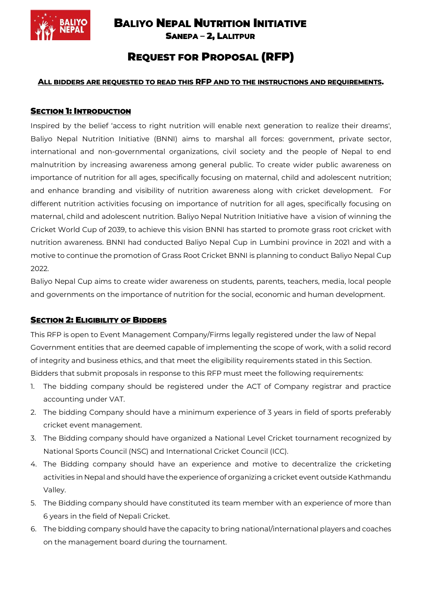

# **BALIYO NEPAL NUTRITION INITIATIVE**

**SANEPA - 2. LALITPUR** 

# REQUEST FOR PROPOSAL (RFP)

#### **ALL BIDDERS ARE REQUESTED TO READ THIS RFP AND TO THE INSTRUCTIONS AND REQUIREMENTS.**

#### SECTION 1: INTRODUCTION

Inspired by the belief 'access to right nutrition will enable next generation to realize their dreams', Baliyo Nepal Nutrition Initiative (BNNI) aims to marshal all forces: government, private sector, international and non-governmental organizations, civil society and the people of Nepal to end malnutrition by increasing awareness among general public. To create wider public awareness on importance of nutrition for all ages, specifically focusing on maternal, child and adolescent nutrition; and enhance branding and visibility of nutrition awareness along with cricket development. For different nutrition activities focusing on importance of nutrition for all ages, specifically focusing on maternal, child and adolescent nutrition. Baliyo Nepal Nutrition Initiative have a vision of winning the Cricket World Cup of 2039, to achieve this vision BNNI has started to promote grass root cricket with nutrition awareness. BNNI had conducted Baliyo Nepal Cup in Lumbini province in 2021 and with a motive to continue the promotion of Grass Root Cricket BNNI is planning to conduct Baliyo Nepal Cup 2022.

Baliyo Nepal Cup aims to create wider awareness on students, parents, teachers, media, local people and governments on the importance of nutrition for the social, economic and human development.

### SECTION 2: ELIGIBILITY OF BIDDERS

This RFP is open to Event Management Company/Firms legally registered under the law of Nepal Government entities that are deemed capable of implementing the scope of work, with a solid record of integrity and business ethics, and that meet the eligibility requirements stated in this Section. Bidders that submit proposals in response to this RFP must meet the following requirements:

- 1. The bidding company should be registered under the ACT of Company registrar and practice accounting under VAT.
- 2. The bidding Company should have a minimum experience of 3 years in field of sports preferably cricket event management.
- 3. The Bidding company should have organized a National Level Cricket tournament recognized by National Sports Council (NSC) and International Cricket Council (ICC).
- 4. The Bidding company should have an experience and motive to decentralize the cricketing activities in Nepal and should have the experience of organizing a cricket event outside Kathmandu Valley.
- 5. The Bidding company should have constituted its team member with an experience of more than 6 years in the field of Nepali Cricket.
- 6. The bidding company should have the capacity to bring national/international players and coaches on the management board during the tournament.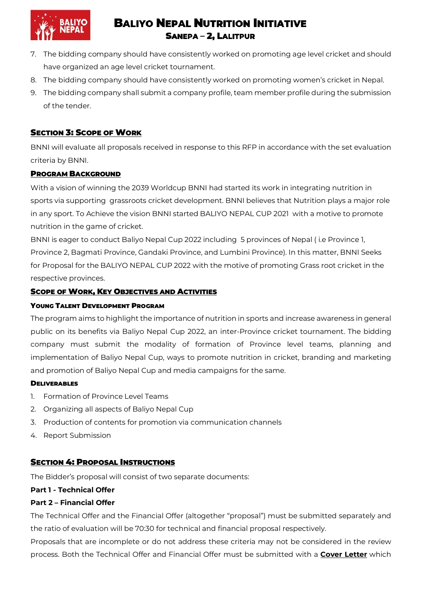

# **BALIYO NEPAL NUTRITION INITIATIVE SANEPA - 2. LALITPUR**

- 7. The bidding company should have consistently worked on promoting age level cricket and should have organized an age level cricket tournament.
- 8. The bidding company should have consistently worked on promoting women's cricket in Nepal.
- 9. The bidding company shall submit a company profile, team member profile during the submission of the tender.

### SECTION 3: SCOPE OF WORK

BNNI will evaluate all proposals received in response to this RFP in accordance with the set evaluation criteria by BNNI.

#### PROGRAM BACKGROUND

With a vision of winning the 2039 Worldcup BNNI had started its work in integrating nutrition in sports via supporting grassroots cricket development. BNNI believes that Nutrition plays a major role in any sport. To Achieve the vision BNNI started BALIYO NEPAL CUP 2021 with a motive to promote nutrition in the game of cricket.

BNNI is eager to conduct Baliyo Nepal Cup 2022 including 5 provinces of Nepal ( i.e Province 1, Province 2, Bagmati Province, Gandaki Province, and Lumbini Province). In this matter, BNNI Seeks for Proposal for the BALIYO NEPAL CUP 2022 with the motive of promoting Grass root cricket in the respective provinces.

#### **SCOPE OF WORK, KEY OBJECTIVES AND ACTIVITIES**

#### YOUNG TALENT DEVELOPMENT PROGRAM

The program aims to highlight the importance of nutrition in sports and increase awareness in general public on its benefits via Baliyo Nepal Cup 2022, an inter-Province cricket tournament. The bidding company must submit the modality of formation of Province level teams, planning and implementation of Baliyo Nepal Cup, ways to promote nutrition in cricket, branding and marketing and promotion of Baliyo Nepal Cup and media campaigns for the same.

#### DELIVERABLES

- 1. Formation of Province Level Teams
- 2. Organizing all aspects of Baliyo Nepal Cup
- 3. Production of contents for promotion via communication channels
- 4. Report Submission

### SECTION 4: PROPOSAL INSTRUCTIONS

The Bidder's proposal will consist of two separate documents:

#### **Part 1 - Technical Offer**

#### **Part 2 – Financial Offer**

The Technical Offer and the Financial Offer (altogether "proposal") must be submitted separately and the ratio of evaluation will be 70:30 for technical and financial proposal respectively.

Proposals that are incomplete or do not address these criteria may not be considered in the review process. Both the Technical Offer and Financial Offer must be submitted with a **Cover Letter** which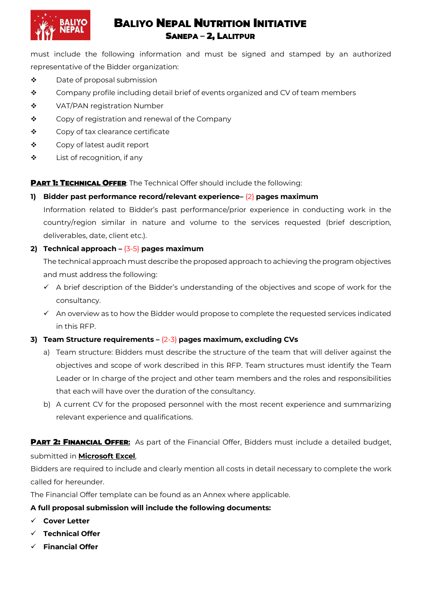

# **BALIYO NEPAL NUTRITION INITIATIVE SANEPA - 2. LALITPUR**

must include the following information and must be signed and stamped by an authorized representative of the Bidder organization:

- ◆ Date of proposal submission
- $\bullet$  Company profile including detail brief of events organized and CV of team members
- ◆ VAT/PAN registration Number
- \* Copy of registration and renewal of the Company
- Copy of tax clearance certificate
- Copy of latest audit report
- List of recognition, if any

**PART 1: TECHNICAL OFFER:** The Technical Offer should include the following:

#### **1) Bidder past performance record/relevant experience–** {2} **pages maximum**

Information related to Bidder's past performance/prior experience in conducting work in the country/region similar in nature and volume to the services requested (brief description, deliverables, date, client etc.).

#### **2) Technical approach –** {3-5} **pages maximum**

The technical approach must describe the proposed approach to achieving the program objectives and must address the following:

- $\checkmark$  A brief description of the Bidder's understanding of the objectives and scope of work for the consultancy.
- $\checkmark$  An overview as to how the Bidder would propose to complete the requested services indicated in this RFP.

### **3) Team Structure requirements –** {2-3} **pages maximum, excluding CVs**

- a) Team structure: Bidders must describe the structure of the team that will deliver against the objectives and scope of work described in this RFP. Team structures must identify the Team Leader or In charge of the project and other team members and the roles and responsibilities that each will have over the duration of the consultancy.
- b) A current CV for the proposed personnel with the most recent experience and summarizing relevant experience and qualifications.

### **PART 2: FINANCIAL OFFER:** As part of the Financial Offer, Bidders must include a detailed budget,

### submitted in **Microsoft Excel**,

Bidders are required to include and clearly mention all costs in detail necessary to complete the work called for hereunder.

The Financial Offer template can be found as an Annex where applicable.

#### **A full proposal submission will include the following documents:**

- **Cover Letter**
- **Technical Offer**
- **Financial Offer**